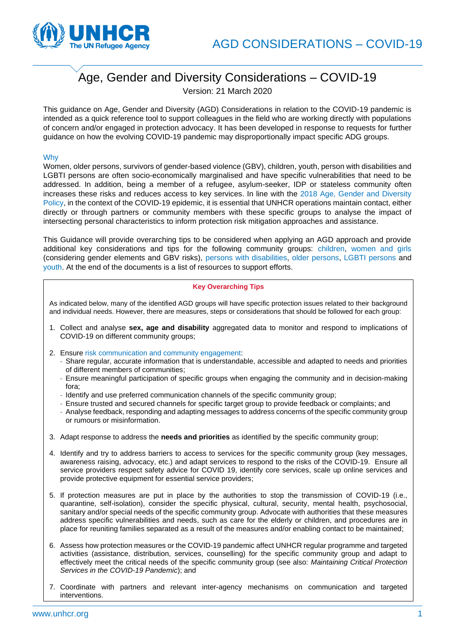

# Age, Gender and Diversity Considerations – COVID-19

Version: 21 March 2020

This guidance on Age, Gender and Diversity (AGD) Considerations in relation to the COVID-19 pandemic is intended as a quick reference tool to support colleagues in the field who are working directly with populations of concern and/or engaged in protection advocacy. It has been developed in response to requests for further guidance on how the evolving COVID-19 pandemic may disproportionally impact specific ADG groups.

# Why

Women, older persons, survivors of gender-based violence (GBV), children, youth, person with disabilities and LGBTI persons are often socio-economically marginalised and have specific vulnerabilities that need to be addressed. In addition, being a member of a refugee, asylum-seeker, IDP or stateless community often increases these risks and reduces access to key services. In line with the [2018 Age, Gender and Diversity](https://www.unhcr.org/5aa13c0c7.pdf)  [Policy,](https://www.unhcr.org/5aa13c0c7.pdf) in the context of the COVID-19 epidemic, it is essential that UNHCR operations maintain contact, either directly or through partners or community members with these specific groups to analyse the impact of intersecting personal characteristics to inform protection risk mitigation approaches and assistance.

This Guidance will provide overarching tips to be considered when applying an AGD approach and provide additional key considerations and tips for the following community groups: [children,](#page-1-0) women and girls (considering gender elements and GBV risks), [persons with disabilities,](#page-1-1) [older persons,](#page-3-0) [LGBTI persons](#page-2-0) and [youth.](#page-3-1) At the end of the documents is a list of resources to support efforts.

# **Key Overarching Tips**

As indicated below, many of the identified AGD groups will have specific protection issues related to their background and individual needs. However, there are measures, steps or considerations that should be followed for each group:

- 1. Collect and analyse **sex, age and disability** aggregated data to monitor and respond to implications of COVID-19 on different community groups;
- 2. Ensure [risk communication and community engagement:](https://unhcr365.sharepoint.com/sites/der-dcwc/Guidance%20%20other%20resources/Forms/AllItems.aspx?id=%2Fsites%2Fder%2Ddcwc%2FGuidance%20%20other%20resources%2FCwC%20about%20COVID%2D19%2FCOVID%2D19%20%2D%20UNHCR%20Risk%20Communication%20and%20Community%20Engagement%20%28RCCE%29%20%2D%20v17%2E03%2E2020%2Epdf&parent=%2Fsites%2Fder%2Ddcwc%2FGuidance%20%20other%20resources%2FCwC%20about%20COVID%2D19&p=true&originalPath=aHR0cHM6Ly91bmhjcjM2NS5zaGFyZXBvaW50LmNvbS86Yjovcy9kZXItZGN3Yy9FUUJKTEZBR3ZZcENsQnkwNTBNMVFrb0Jpb1dfQmh6em1PWmxJb1NtQk9NQVF3P3J0aW1lPWl3T0g4d2ZNMTBn)
	- Share regular, accurate information that is understandable, accessible and adapted to needs and priorities of different members of communities;
	- Ensure meaningful participation of specific groups when engaging the community and in decision-making fora;
	- Identify and use preferred communication channels of the specific community group;
	- Ensure trusted and secured channels for specific target group to provide feedback or complaints; and
	- Analyse feedback, responding and adapting messages to address concerns of the specific community group or rumours or misinformation.
- 3. Adapt response to address the **needs and priorities** as identified by the specific community group;
- 4. Identify and try to address barriers to access to services for the specific community group (key messages, awareness raising, advocacy, etc.) and adapt services to respond to the risks of the COVID-19. Ensure all service providers respect [safety advice for COVID 19,](https://www.who.int/emergencies/diseases/novel-coronavirus-2019/advice-for-public) identify core services, scale up online services and provide protective equipment for essential service providers;
- 5. If protection measures are put in place by the authorities to stop the transmission of COVID-19 (i.e., quarantine, self-isolation), consider the specific physical, cultural, security, mental health, psychosocial, sanitary and/or special needs of the specific community group. Advocate with authorities that these measures address specific vulnerabilities and needs, such as care for the elderly or children, and procedures are in place for reuniting families separated as a result of the measures and/or enabling contact to be maintained;
- 6. Assess how protection measures or the COVID-19 pandemic affect UNHCR regular programme and targeted activities (assistance, distribution, services, counselling) for the specific community group and adapt to effectively meet the critical needs of the specific community group (see also: *Maintaining Critical Protection Services in the COVID-19 Pandemic*); and
- 7. Coordinate with partners and relevant inter-agency mechanisms on communication and targeted interventions.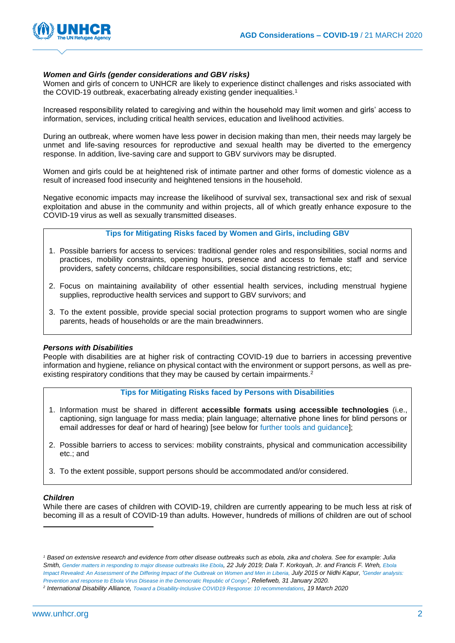

# <span id="page-1-0"></span>*Women and Girls (gender considerations and GBV risks)*

Women and girls of concern to UNHCR are likely to experience distinct challenges and risks associated with the COVID-19 outbreak, exacerbating already existing gender inequalities.<sup>1</sup>

Increased responsibility related to caregiving and within the household may limit women and girls' access to information, services, including critical health services, education and livelihood activities.

During an outbreak, where women have less power in decision making than men, their needs may largely be unmet and life-saving resources for reproductive and sexual health may be diverted to the emergency response. In addition, live-saving care and support to GBV survivors may be disrupted.

Women and girls could be at heightened risk of intimate partner and other forms of domestic violence as a result of increased food insecurity and heightened tensions in the household.

Negative economic impacts may increase the likelihood of survival sex, transactional sex and risk of sexual exploitation and abuse in the community and within projects, all of which greatly enhance exposure to the COVID-19 virus as well as sexually transmitted diseases.

# **Tips for Mitigating Risks faced by Women and Girls, including GBV**

- 1. Possible barriers for access to services: traditional gender roles and responsibilities, social norms and practices, mobility constraints, opening hours, presence and access to female staff and service providers, safety concerns, childcare responsibilities, social distancing restrictions, etc;
- 2. Focus on maintaining availability of other essential health services, including menstrual hygiene supplies, reproductive health services and support to GBV survivors; and
- 3. To the extent possible, provide special social protection programs to support women who are single parents, heads of households or are the main breadwinners.

## <span id="page-1-1"></span>*Persons with Disabilities*

People with disabilities are at higher risk of contracting COVID-19 due to barriers in accessing preventive information and hygiene, reliance on physical contact with the environment or support persons, as well as preexisting respiratory conditions that they may be caused by certain impairments.<sup>2</sup>

#### **Tips for Mitigating Risks faced by Persons with Disabilities**

- 1. Information must be shared in different **accessible formats using accessible technologies** (i.e., captioning, sign language for mass media; plain language; alternative phone lines for blind persons or email addresses for deaf or hard of hearing) [see below for [further tools and guidance\]](#page-5-0);
- 2. Possible barriers to access to services: mobility constraints, physical and communication accessibility etc.; and
- 3. To the extent possible, support persons should be accommodated and/or considered.

#### *Children*

While there are cases of children with COVID-19, children are currently appearing to be much less at risk of becoming ill as a result of COVID-19 than adults. However, hundreds of millions of children are out of school

*<sup>1</sup> Based on extensive research and evidence from other disease outbreaks such as ebola, zika and cholera. See for example: Julia Smith, [Gender matters in responding to major disease outbreaks like Ebola](http://theconversation.com/gender-matters-in-responding-to-major-disease-outbreaks-like-ebola-120524), 22 July 2019; Dala T. Korkoyah, Jr. and Francis F. Wreh, [Ebola](https://www-cdn.oxfam.org/s3fs-public/file_attachments/rr-ebola-impact-women-men-liberia-010715-en.pdf)  Impact [Revealed: An Assessment of the Differing Impact of the Outbreak on Women and Men in Liberia,](https://www-cdn.oxfam.org/s3fs-public/file_attachments/rr-ebola-impact-women-men-liberia-010715-en.pdf) July 2015 or Nidhi Kapur, '[Gender analysis:](https://reliefweb.int/sites/reliefweb.int/files/resources/Gender%20Analysis%20-%20Prevention%20and%20Response%20to%20Ebola%20Virus%20Disease%20in%20the%20Democratic%20Republic%20of%20Congo%20%28January%202020%29.pdf)  [Prevention and response to Ebola Virus Disease in the Democratic Republic of Congo](https://reliefweb.int/sites/reliefweb.int/files/resources/Gender%20Analysis%20-%20Prevention%20and%20Response%20to%20Ebola%20Virus%20Disease%20in%20the%20Democratic%20Republic%20of%20Congo%20%28January%202020%29.pdf)', Reliefweb, 31 January 2020.*

*<sup>2</sup> International Disability Alliance, [Toward a Disability-Inclusive COVID19 Response: 10 recommendations](http://www.internationaldisabilityalliance.org/sites/default/files/ida_recommendations_for_disability-inclusive_covid19_response_final.pdf), 19 March 2020*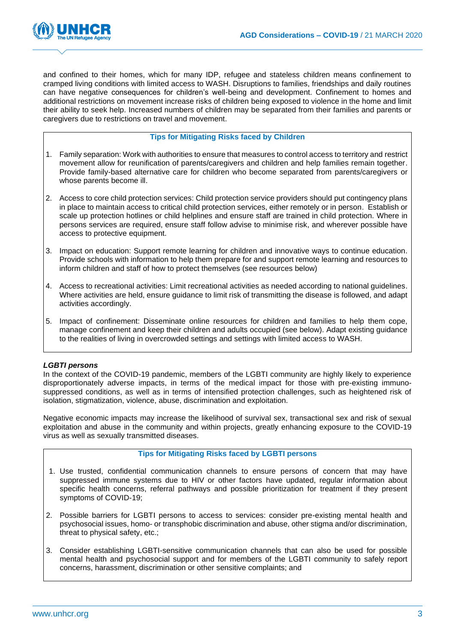

and confined to their homes, which for many IDP, refugee and stateless children means confinement to cramped living conditions with limited access to WASH. Disruptions to families, friendships and daily routines can have negative consequences for children's well-being and development. Confinement to homes and additional restrictions on movement increase risks of children being exposed to violence in the home and limit their ability to seek help. Increased numbers of children may be separated from their families and parents or caregivers due to restrictions on travel and movement.

# **Tips for Mitigating Risks faced by Children**

- 1. Family separation: Work with authorities to ensure that measures to control access to territory and restrict movement allow for reunification of parents/caregivers and children and help families remain together. Provide family-based alternative care for children who become separated from parents/caregivers or whose parents become ill.
- 2. Access to core child protection services: Child protection service providers should put contingency plans in place to maintain access to critical child protection services, either remotely or in person. Establish or scale up protection hotlines or child helplines and ensure staff are trained in child protection. Where in persons services are required, ensure staff follow advise to minimise risk, and wherever possible have access to protective equipment.
- 3. Impact on education: Support remote learning for children and innovative ways to continue education. Provide schools with information to help them prepare for and support remote learning and resources to inform children and staff of how to protect themselves (see resources below)
- 4. Access to recreational activities: Limit recreational activities as needed according to national guidelines. Where activities are held, ensure guidance to limit risk of transmitting the disease is followed, and adapt activities accordingly.
- 5. Impact of confinement: Disseminate online resources for children and families to help them cope, manage confinement and keep their children and adults occupied (see below). Adapt existing guidance to the realities of living in overcrowded settings and settings with limited access to WASH.

# <span id="page-2-0"></span>*LGBTI persons*

In the context of the COVID-19 pandemic, members of the LGBTI community are highly likely to experience disproportionately adverse impacts, in terms of the medical impact for those with pre-existing immunosuppressed conditions, as well as in terms of intensified protection challenges, such as heightened risk of isolation, stigmatization, violence, abuse, discrimination and exploitation.

Negative economic impacts may increase the likelihood of survival sex, transactional sex and risk of sexual exploitation and abuse in the community and within projects, greatly enhancing exposure to the COVID-19 virus as well as sexually transmitted diseases.

#### **Tips for Mitigating Risks faced by LGBTI persons**

- 1. Use trusted, confidential communication channels to ensure persons of concern that may have suppressed immune systems due to HIV or other factors have updated, regular information about specific health concerns, referral pathways and possible prioritization for treatment if they present symptoms of COVID-19;
- 2. Possible barriers for LGBTI persons to access to services: consider pre-existing mental health and psychosocial issues, homo- or transphobic discrimination and abuse, other stigma and/or discrimination, threat to physical safety, etc.;
- 3. Consider establishing LGBTI-sensitive communication channels that can also be used for possible mental health and psychosocial support and for members of the LGBTI community to safely report concerns, harassment, discrimination or other sensitive complaints; and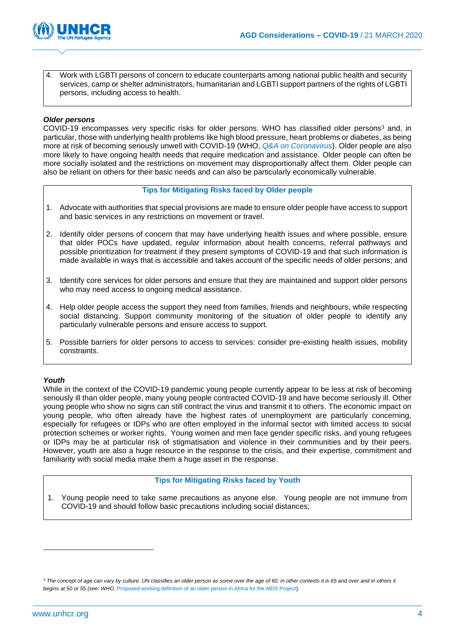

4. Work with LGBTI persons of concern to educate counterparts among national public health and security services, camp or shelter administrators, humanitarian and LGBTI support partners of the rights of LGBTI persons, including access to health.

# <span id="page-3-0"></span>*Older persons*

COVID-19 encompasses very specific risks for older persons. WHO has classified older persons<sup>3</sup> and, in particular, those with underlying health problems like high blood pressure, heart problems or diabetes, as being more at risk of becoming seriously unwell with COVID-19 (WHO, *[Q&A on Coronavirus](https://www.who.int/news-room/q-a-detail/q-a-coronaviruses)*). Older people are also more likely to have ongoing health needs that require medication and assistance. Older people can often be more socially isolated and the restrictions on movement may disproportionally affect them. Older people can also be reliant on others for their basic needs and can also be particularly economically vulnerable.

#### **Tips for Mitigating Risks faced by Older people**

- 1. Advocate with authorities that special provisions are made to ensure older people have access to support and basic services in any restrictions on movement or travel.
- 2. Identify older persons of concern that may have underlying health issues and where possible, ensure that older POCs have updated, regular information about health concerns, referral pathways and possible prioritization for treatment if they present symptoms of COVID-19 and that such information is made available in ways that is accessible and takes account of the specific needs of older persons; and
- 3. Identify core services for older persons and ensure that they are maintained and support older persons who may need access to ongoing medical assistance.
- 4. Help older people access the support they need from families, friends and neighbours, while respecting social distancing. Support community monitoring of the situation of older people to identify any particularly vulnerable persons and ensure access to support.
- 5. Possible barriers for older persons to access to services: consider pre-existing health issues, mobility constraints.

#### <span id="page-3-1"></span>*Youth*

While in the context of the COVID-19 pandemic young people currently appear to be less at risk of becoming seriously ill than older people, many young people contracted COVID-19 and have become seriously ill. Other young people who show no signs can still contract the virus and transmit it to others. The economic impact on young people, who often already have the highest rates of unemployment are particularly concerning, especially for refugees or IDPs who are often employed in the informal sector with limited access to social protection schemes or worker rights. Young women and men face gender specific risks, and young refugees or IDPs may be at particular risk of stigmatisation and violence in their communities and by their peers. However, youth are also a huge resource in the response to the crisis, and their expertise, commitment and familiarity with social media make them a huge asset in the response.

### **Tips for Mitigating Risks faced by Youth**

1. Young people need to take same precautions as anyone else. Young people are not immune from COVID-19 and should follow basic precautions including social distances;

<sup>&</sup>lt;sup>3</sup> The concept of age can vary by culture: UN classifies an older person as some over the age of 60, in other contexts it is 65 and over and in others it *begins at 50 or 55 (see: WHO*[, Proposed working definition of an older person in Africa for the MDS Project\)](https://www.who.int/healthinfo/survey/ageingdefnolder/en/).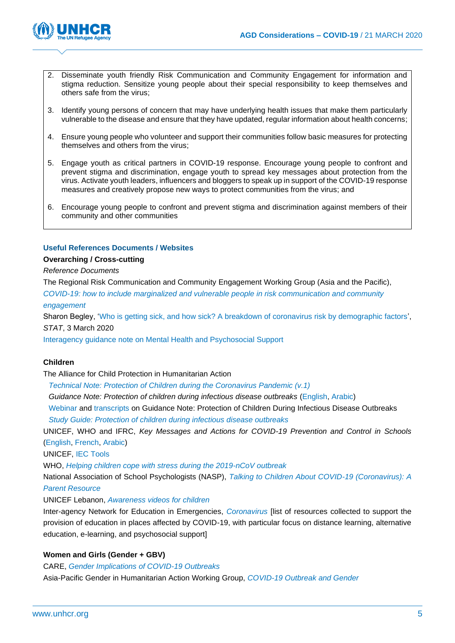

- 2. Disseminate youth friendly Risk Communication and Community Engagement for information and stigma reduction. Sensitize young people about their special responsibility to keep themselves and others safe from the virus;
- 3. Identify young persons of concern that may have underlying health issues that make them particularly vulnerable to the disease and ensure that they have updated, regular information about health concerns;
- 4. Ensure young people who volunteer and support their communities follow basic measures for protecting themselves and others from the virus;
- 5. Engage youth as critical partners in COVID-19 response. Encourage young people to confront and prevent stigma and discrimination, engage youth to spread key messages about protection from the virus. Activate youth leaders, influencers and bloggers to speak up in support of the COVID-19 response measures and creatively propose new ways to protect communities from the virus; and
- 6. Encourage young people to confront and prevent stigma and discrimination against members of their community and other communities

# **Useful References Documents / Websites**

#### **Overarching / Cross-cutting**

## *Reference Documents*

The Regional Risk Communication and Community Engagement Working Group (Asia and the Pacific),

*[COVID-19: how to include marginalized and vulnerable people in risk communication and community](https://reliefweb.int/sites/reliefweb.int/files/resources/COVID-19_CommunityEngagement_130320.pdf)  [engagement](https://reliefweb.int/sites/reliefweb.int/files/resources/COVID-19_CommunityEngagement_130320.pdf)*

Sharon Begley, ['Who is getting sick, and how sick? A breakdown of coronavirus risk by demographic factors',](https://www.statnews.com/2020/03/03/who-is-getting-sick-and-how-sick-a-breakdown-of-coronavirus-risk-by-demographic-factors/#_blank) *STAT*, 3 March 2020

[Interagency guidance note on Mental Health and Psychosocial Support](https://interagencystandingcommittee.org/iasc-reference-group-mental-health-and-psychosocial-support-emergency-settings/briefing-note-about)

#### **Children**

The Alliance for Child Protection in Humanitarian Action

*[Technical Note: Protection of Children during the Coronavirus Pandemic \(v.1\)](https://alliancecpha.org/en/system/tdf/library/attachments/the_alliance_covid_19_brief_version_1.pdf?file=1&type=node&id=37184)*

*Guidance Note: Protection of children during infectious disease outbreaks* [\(English,](https://alliancecpha.org/system/tdf/library/attachments/cp_during_ido_guide_0.pdf?file=1&type=node&id=30184) [Arabic\)](https://alliancecpha.org/system/tdf/library/attachments/ido_arabic_version.pdf?file=1&type=node&id=30184)

[Webinar](https://www.youtube.com/playlist?list=PLTqpcYbBSkF9i1Oluw-WoeHWUYm6qS36t) and [transcripts](https://alliancecpha.org/sites/default/files/library/attachments/transcript_of_the_pre-recorded_presentation_on_cp_ido.pdf) on Guidance Note: Protection of Children During Infectious Disease Outbreaks

*[Study Guide: Protection of children during infectious disease outbreaks](https://resourcecentre.savethechildren.net/node/14122/pdf/protecting_children_during_ido_study_guide_v1_0.pdf)*

UNICEF, WHO and IFRC, *Key Messages and Actions for COVID-19 Prevention and Control in Schools* [\(English,](https://educationcluster.app.box.com/s/qgyxvghxv4mhluy790h6s9jf6ek1q9l4) [French,](https://educationcluster.app.box.com/s/6f72fwz67ti3x7ndjxnu679fgm49get9) [Arabic\)](https://educationcluster.app.box.com/s/omehkh4pd37qcb8zlk7wp9c10hi15jzj)

UNICEF, [IEC Tools](https://educationcluster.box.com/s/760c172yoyc7505t6uhj8hy6sgejcz2x)

WHO, *[Helping children cope with stress during the 2019-nCoV outbreak](https://www.who.int/docs/default-source/searo/bangladesh/2019-ncov/helping-children-cope-with-stress-print.pdf?sfvrsn=c48656a_6)*

National Association of School Psychologists (NASP), *[Talking to Children About COVID-19 \(Coronavirus\): A](https://www.nasponline.org/resources-and-publications/resources-and-podcasts/school-climate-safety-and-crisis/health-crisis-resources/talking-to-children-about-covid-19-(coronavirus)-a-parent-resource)  [Parent Resource](https://www.nasponline.org/resources-and-publications/resources-and-podcasts/school-climate-safety-and-crisis/health-crisis-resources/talking-to-children-about-covid-19-(coronavirus)-a-parent-resource)*

UNICEF Lebanon, *[Awareness videos for children](https://www.dropbox.com/sh/d4vmfws6a9wd5qi/AADnp-DdGZa1rVmptMzwrbLaa?dl=0)*

Inter-agency Network for Education in Emergencies, *[Coronavirus](https://inee.org/collections/coronavirus-covid-19)* [list of resources collected to support the provision of education in places affected by COVID-19, with particular focus on distance learning, alternative education, e-learning, and psychosocial support]

#### **Women and Girls (Gender + GBV)**

CARE, *[Gender Implications of COVID-19 Outbreaks](https://reliefweb.int/sites/reliefweb.int/files/resources/Gender%20implications%20of%20COVID-19%20outbreaks%20in%20development%20and%20humanitarian%20settings.pdf)*

Asia-Pacific Gender in Humanitarian Action Working Group, *[COVID-19 Outbreak and Gender](https://www2.unwomen.org/-/media/field%20office%20eseasia/docs/publications/2020/03/ap-giha-wg-advocacy.pdf?la=en&vs=2145)*